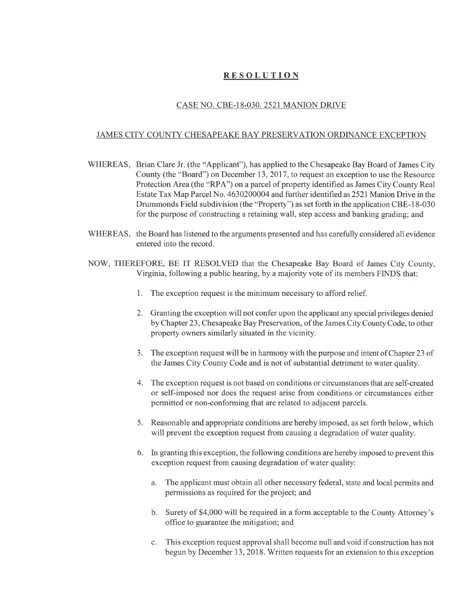## RESOLUTION

## CASE NO. CBE-18-030. 2521 MANION DRIVE

## JAMES CITY COUNTY CHESAPEAKE BAY PRESERVATION ORDINANCE EXCEPTION

- WHEREAS, Brian Clare Jr. (the "Applicant"), has applied to the Chesapeake Bay Board of James City County (the "Board") on December 13, 2017, to request an exception to use the Resource Protection Area (the "RPA") on a parcel of property identified as James City County Real Estate Tax Map Parcel No. 4630200004 and further identified as 2521 Manion Drive in the Drummonds Field subdivision (the "Property") as set forth in the application CBE-18-030 for the purpose of constmcting a retaining wall, step access and banking grading; and
- WHEREAS, the Board has listened to the arguments presented and has carefully considered all evidence entered into the record.
- NOW, THEREFORE, BE IT RESOLVED that the Chesapeake Bay Board of James City County, Virginia, following a public hearing, by a majority vote of its members FINDS that:
	- 1. The exception request is the minimum necessary to afford relief.
	- 2. Granting the exception will not confer upon the applicant any special privileges denied by Chapter 23, Chesapeake Bay Preservation, of the James City County Code, to other property owners similarly situated in the vicinity.
	- 3. The exception request will be in harmony with the purpose and intent of Chapter 23 of the James City County Code and is not of substantial detriment to water quality.
	- 4. The exception request is not based on conditions or circumstances that are self-created or self-imposed nor does the request arise from conditions or circumstances either permitted or non-conforming that are related to adjacent parcels.
	- 5. Reasonable and appropriate conditions are hereby imposed, as set forth below, which will prevent the exception request from causing a degradation of water quality.
	- 6. In granting this exception, the following conditions are hereby imposed to prevent this exception request from causing degradation of water quality:
		- a. The applicant must obtain all other necessary federal, state and local permits and permissions as required for the project; and
		- b. Surety of \$4,000 will be required in a form acceptable to the County Attorney's office to guarantee the mitigation; and
		- c. This exception request approval shall become null and void if construction has not begun by December 13, 2018. Written requests for an extension to this exception